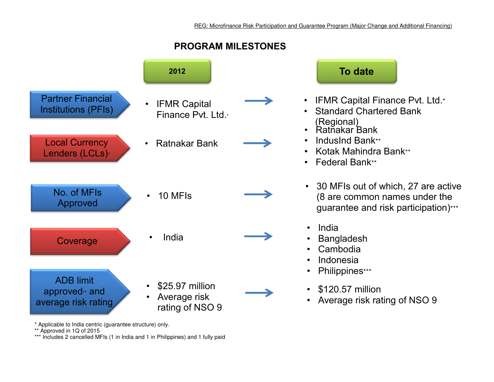



- IFMR Capital Finance Pvt. Ltd.\*
- Standard Chartered Bank (Regional)
- Ratnakar Bank
- IndusInd Bank\*\*
- Kotak Mahindra Bank\*\*
- Federal Bank\*\*
- 30 MFIs out of which, 27 are active (8 are common names under the guarantee and risk participation)\*\*\*
- India
- **Bangladesh**
- Cambodia
- Indonesia
- Philippines\*\*\*
- \$120.57 million
- Average risk rating of NSO 9

\* Applicable to India centric (guarantee structure) only.

\*\* Approved in 1Q of 2015

\*\*\* Includes 2 cancelled MFIs (1 in India and 1 in Philippines) and 1 fully paid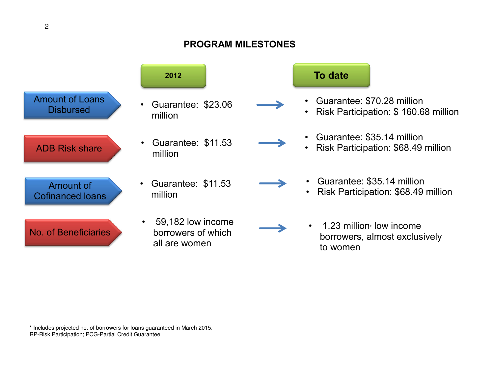## **PROGRAM MILESTONES**



\* Includes projected no. of borrowers for loans guaranteed in March 2015. RP-Risk Participation; PCG-Partial Credit Guarantee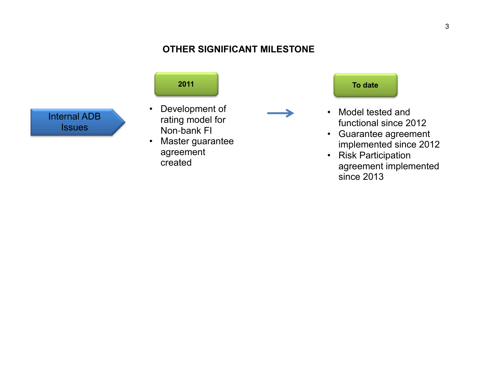## **OTHER SIGNIFICANT MILESTONE**